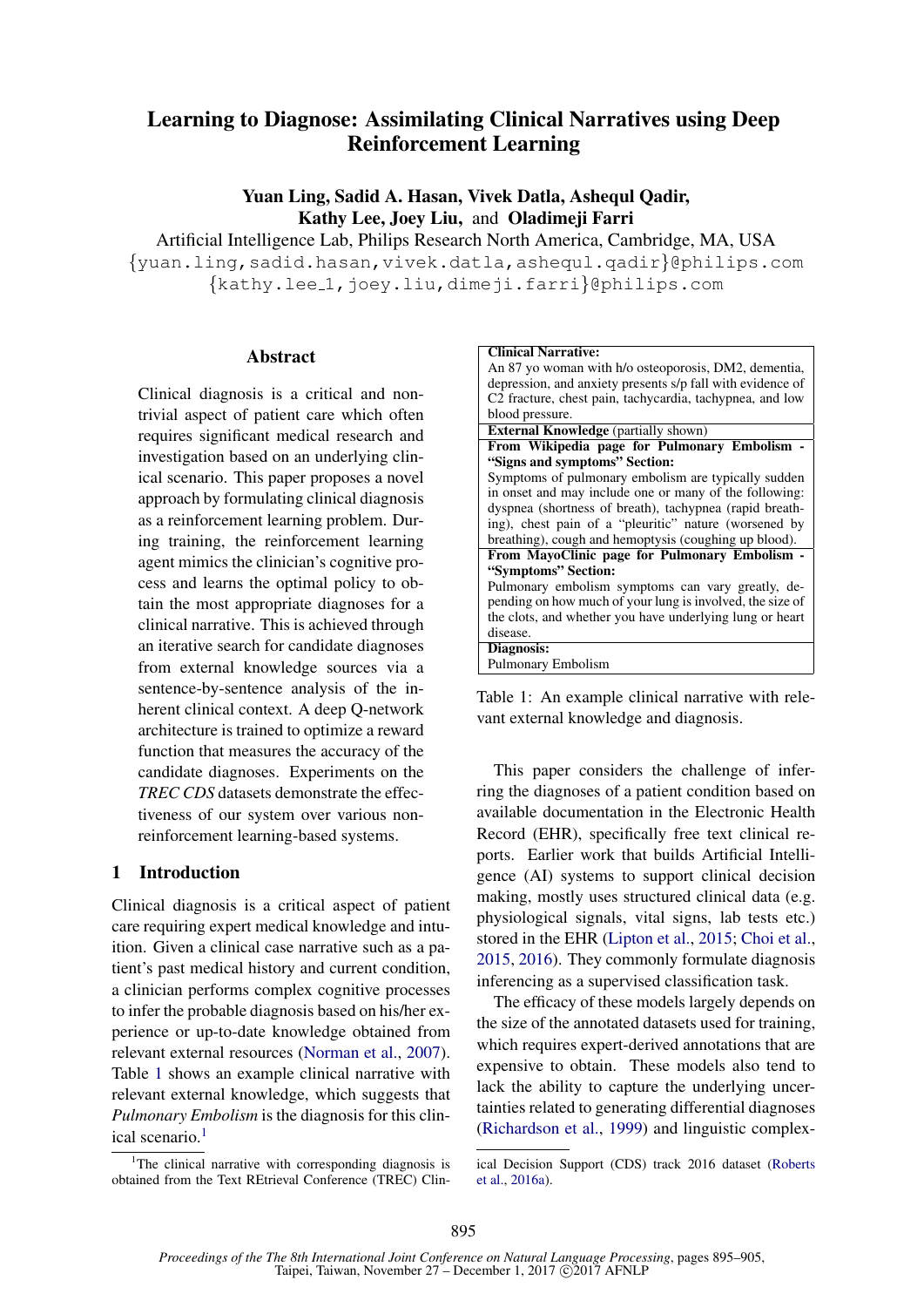# Learning to Diagnose: Assimilating Clinical Narratives using Deep Reinforcement Learning

Yuan Ling, Sadid A. Hasan, Vivek Datla, Ashequl Qadir, Kathy Lee, Joey Liu, and Oladimeji Farri

Artificial Intelligence Lab, Philips Research North America, Cambridge, MA, USA {yuan.ling,sadid.hasan,vivek.datla,ashequl.qadir}@philips.com {kathy.lee 1,joey.liu,dimeji.farri}@philips.com

#### **Abstract**

Clinical diagnosis is a critical and nontrivial aspect of patient care which often requires significant medical research and investigation based on an underlying clinical scenario. This paper proposes a novel approach by formulating clinical diagnosis as a reinforcement learning problem. During training, the reinforcement learning agent mimics the clinician's cognitive process and learns the optimal policy to obtain the most appropriate diagnoses for a clinical narrative. This is achieved through an iterative search for candidate diagnoses from external knowledge sources via a sentence-by-sentence analysis of the inherent clinical context. A deep Q-network architecture is trained to optimize a reward function that measures the accuracy of the candidate diagnoses. Experiments on the *TREC CDS* datasets demonstrate the effectiveness of our system over various nonreinforcement learning-based systems.

# 1 Introduction

Clinical diagnosis is a critical aspect of patient care requiring expert medical knowledge and intuition. Given a clinical case narrative such as a patient's past medical history and current condition, a clinician performs complex cognitive processes to infer the probable diagnosis based on his/her experience or up-to-date knowledge obtained from relevant external resources (Norman et al., 2007). Table 1 shows an example clinical narrative with relevant external knowledge, which suggests that *Pulmonary Embolism* is the diagnosis for this clinical scenario.<sup>1</sup>

| <b>Clinical Narrative:</b>                                           |
|----------------------------------------------------------------------|
| An 87 yo woman with h/o osteoporosis, DM2, dementia,                 |
| depression, and anxiety presents s/p fall with evidence of           |
| C <sub>2</sub> fracture, chest pain, tachycardia, tachypnea, and low |
| blood pressure.                                                      |
| <b>External Knowledge</b> (partially shown)                          |
| From Wikipedia page for Pulmonary Embolism -                         |
| "Signs and symptoms" Section:                                        |
| Symptoms of pulmonary embolism are typically sudden                  |
| in onset and may include one or many of the following:               |
| dyspnea (shortness of breath), tachypnea (rapid breath-              |
| ing), chest pain of a "pleuritic" nature (worsened by                |
| breathing), cough and hemoptysis (coughing up blood).                |
| From MayoClinic page for Pulmonary Embolism -                        |
| "Symptoms" Section:                                                  |
| Pulmonary embolism symptoms can vary greatly, de-                    |
| pending on how much of your lung is involved, the size of            |
| the clots, and whether you have underlying lung or heart             |
| disease.                                                             |
| Diagnosis:                                                           |
| Pulmonary Embolism                                                   |
|                                                                      |

Table 1: An example clinical narrative with relevant external knowledge and diagnosis.

This paper considers the challenge of inferring the diagnoses of a patient condition based on available documentation in the Electronic Health Record (EHR), specifically free text clinical reports. Earlier work that builds Artificial Intelligence (AI) systems to support clinical decision making, mostly uses structured clinical data (e.g. physiological signals, vital signs, lab tests etc.) stored in the EHR (Lipton et al., 2015; Choi et al., 2015, 2016). They commonly formulate diagnosis inferencing as a supervised classification task.

The efficacy of these models largely depends on the size of the annotated datasets used for training, which requires expert-derived annotations that are expensive to obtain. These models also tend to lack the ability to capture the underlying uncertainties related to generating differential diagnoses (Richardson et al., 1999) and linguistic complex-

<sup>&</sup>lt;sup>1</sup>The clinical narrative with corresponding diagnosis is obtained from the Text REtrieval Conference (TREC) Clin-

ical Decision Support (CDS) track 2016 dataset (Roberts et al., 2016a).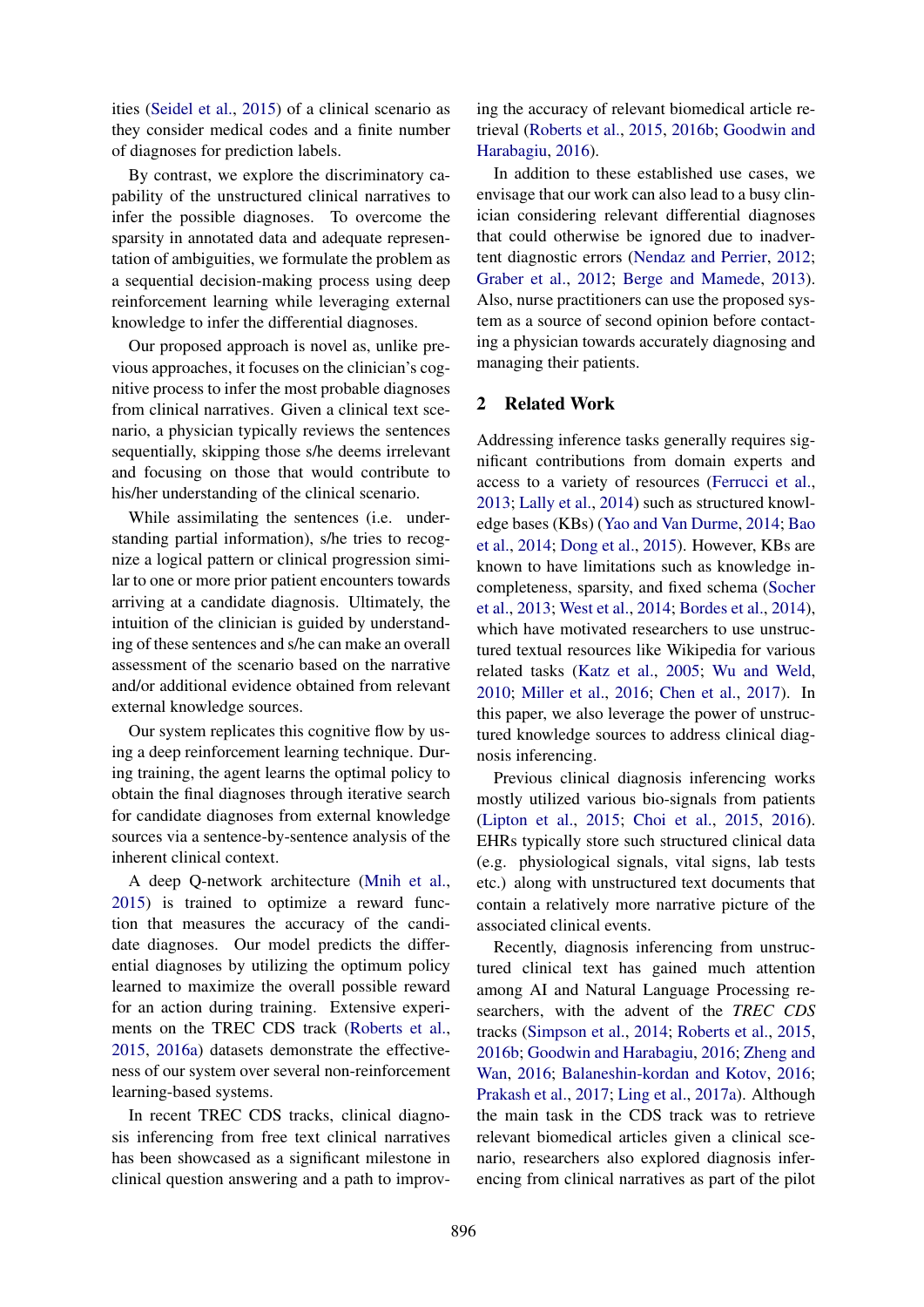ities (Seidel et al., 2015) of a clinical scenario as they consider medical codes and a finite number of diagnoses for prediction labels.

By contrast, we explore the discriminatory capability of the unstructured clinical narratives to infer the possible diagnoses. To overcome the sparsity in annotated data and adequate representation of ambiguities, we formulate the problem as a sequential decision-making process using deep reinforcement learning while leveraging external knowledge to infer the differential diagnoses.

Our proposed approach is novel as, unlike previous approaches, it focuses on the clinician's cognitive process to infer the most probable diagnoses from clinical narratives. Given a clinical text scenario, a physician typically reviews the sentences sequentially, skipping those s/he deems irrelevant and focusing on those that would contribute to his/her understanding of the clinical scenario.

While assimilating the sentences (i.e. understanding partial information), s/he tries to recognize a logical pattern or clinical progression similar to one or more prior patient encounters towards arriving at a candidate diagnosis. Ultimately, the intuition of the clinician is guided by understanding of these sentences and s/he can make an overall assessment of the scenario based on the narrative and/or additional evidence obtained from relevant external knowledge sources.

Our system replicates this cognitive flow by using a deep reinforcement learning technique. During training, the agent learns the optimal policy to obtain the final diagnoses through iterative search for candidate diagnoses from external knowledge sources via a sentence-by-sentence analysis of the inherent clinical context.

A deep Q-network architecture (Mnih et al., 2015) is trained to optimize a reward function that measures the accuracy of the candidate diagnoses. Our model predicts the differential diagnoses by utilizing the optimum policy learned to maximize the overall possible reward for an action during training. Extensive experiments on the TREC CDS track (Roberts et al., 2015, 2016a) datasets demonstrate the effectiveness of our system over several non-reinforcement learning-based systems.

In recent TREC CDS tracks, clinical diagnosis inferencing from free text clinical narratives has been showcased as a significant milestone in clinical question answering and a path to improv-

ing the accuracy of relevant biomedical article retrieval (Roberts et al., 2015, 2016b; Goodwin and Harabagiu, 2016).

In addition to these established use cases, we envisage that our work can also lead to a busy clinician considering relevant differential diagnoses that could otherwise be ignored due to inadvertent diagnostic errors (Nendaz and Perrier, 2012; Graber et al., 2012; Berge and Mamede, 2013). Also, nurse practitioners can use the proposed system as a source of second opinion before contacting a physician towards accurately diagnosing and managing their patients.

# 2 Related Work

Addressing inference tasks generally requires significant contributions from domain experts and access to a variety of resources (Ferrucci et al., 2013; Lally et al., 2014) such as structured knowledge bases (KBs) (Yao and Van Durme, 2014; Bao et al., 2014; Dong et al., 2015). However, KBs are known to have limitations such as knowledge incompleteness, sparsity, and fixed schema (Socher et al., 2013; West et al., 2014; Bordes et al., 2014), which have motivated researchers to use unstructured textual resources like Wikipedia for various related tasks (Katz et al., 2005; Wu and Weld, 2010; Miller et al., 2016; Chen et al., 2017). In this paper, we also leverage the power of unstructured knowledge sources to address clinical diagnosis inferencing.

Previous clinical diagnosis inferencing works mostly utilized various bio-signals from patients (Lipton et al., 2015; Choi et al., 2015, 2016). EHRs typically store such structured clinical data (e.g. physiological signals, vital signs, lab tests etc.) along with unstructured text documents that contain a relatively more narrative picture of the associated clinical events.

Recently, diagnosis inferencing from unstructured clinical text has gained much attention among AI and Natural Language Processing researchers, with the advent of the *TREC CDS* tracks (Simpson et al., 2014; Roberts et al., 2015, 2016b; Goodwin and Harabagiu, 2016; Zheng and Wan, 2016; Balaneshin-kordan and Kotov, 2016; Prakash et al., 2017; Ling et al., 2017a). Although the main task in the CDS track was to retrieve relevant biomedical articles given a clinical scenario, researchers also explored diagnosis inferencing from clinical narratives as part of the pilot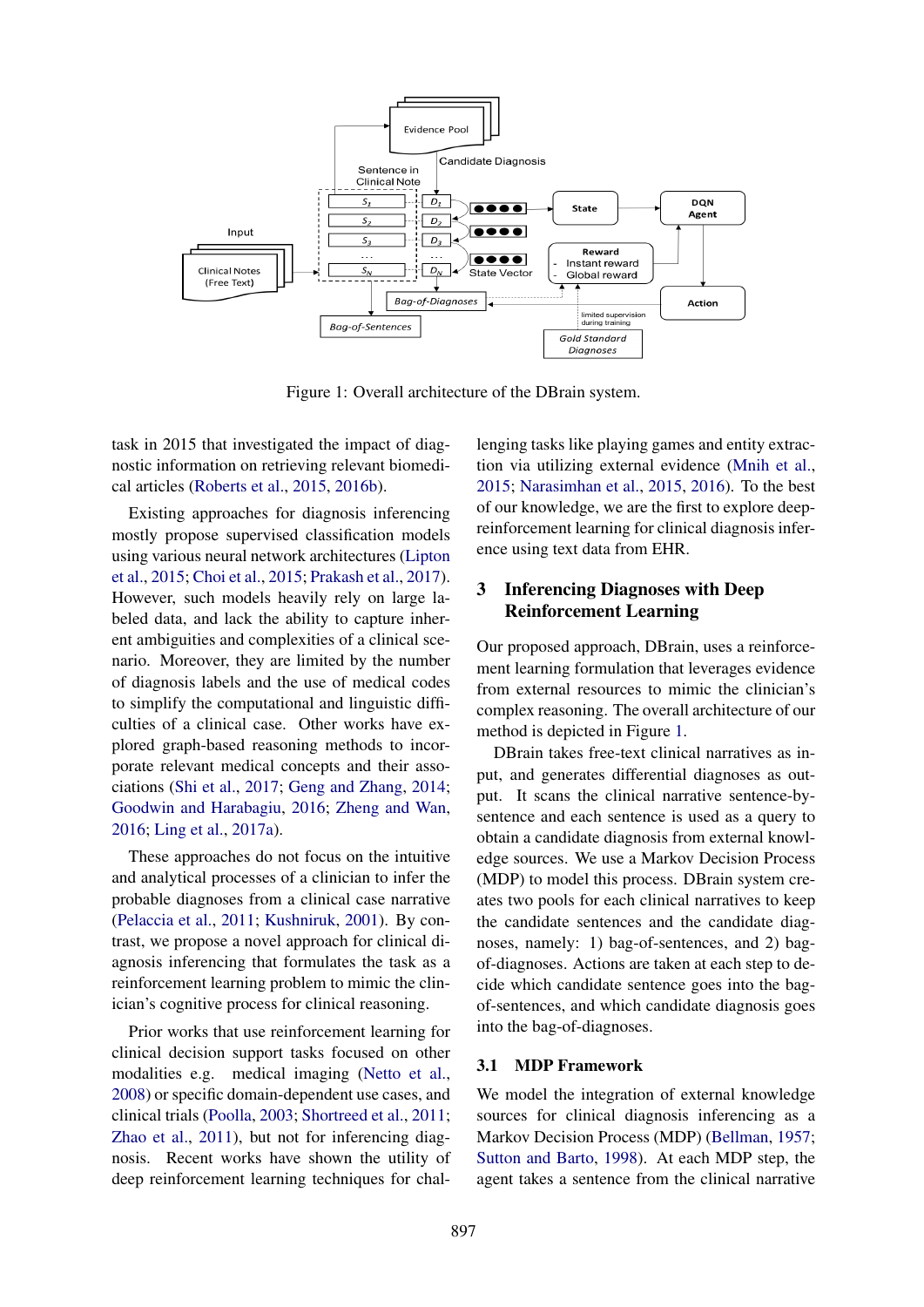

Figure 1: Overall architecture of the DBrain system.

task in 2015 that investigated the impact of diagnostic information on retrieving relevant biomedical articles (Roberts et al., 2015, 2016b).

Existing approaches for diagnosis inferencing mostly propose supervised classification models using various neural network architectures (Lipton et al., 2015; Choi et al., 2015; Prakash et al., 2017). However, such models heavily rely on large labeled data, and lack the ability to capture inherent ambiguities and complexities of a clinical scenario. Moreover, they are limited by the number of diagnosis labels and the use of medical codes to simplify the computational and linguistic difficulties of a clinical case. Other works have explored graph-based reasoning methods to incorporate relevant medical concepts and their associations (Shi et al., 2017; Geng and Zhang, 2014; Goodwin and Harabagiu, 2016; Zheng and Wan, 2016; Ling et al., 2017a).

These approaches do not focus on the intuitive and analytical processes of a clinician to infer the probable diagnoses from a clinical case narrative (Pelaccia et al., 2011; Kushniruk, 2001). By contrast, we propose a novel approach for clinical diagnosis inferencing that formulates the task as a reinforcement learning problem to mimic the clinician's cognitive process for clinical reasoning.

Prior works that use reinforcement learning for clinical decision support tasks focused on other modalities e.g. medical imaging (Netto et al., 2008) or specific domain-dependent use cases, and clinical trials (Poolla, 2003; Shortreed et al., 2011; Zhao et al., 2011), but not for inferencing diagnosis. Recent works have shown the utility of deep reinforcement learning techniques for chal-

lenging tasks like playing games and entity extraction via utilizing external evidence (Mnih et al., 2015; Narasimhan et al., 2015, 2016). To the best of our knowledge, we are the first to explore deepreinforcement learning for clinical diagnosis inference using text data from EHR.

# 3 Inferencing Diagnoses with Deep Reinforcement Learning

Our proposed approach, DBrain, uses a reinforcement learning formulation that leverages evidence from external resources to mimic the clinician's complex reasoning. The overall architecture of our method is depicted in Figure 1.

DBrain takes free-text clinical narratives as input, and generates differential diagnoses as output. It scans the clinical narrative sentence-bysentence and each sentence is used as a query to obtain a candidate diagnosis from external knowledge sources. We use a Markov Decision Process (MDP) to model this process. DBrain system creates two pools for each clinical narratives to keep the candidate sentences and the candidate diagnoses, namely: 1) bag-of-sentences, and 2) bagof-diagnoses. Actions are taken at each step to decide which candidate sentence goes into the bagof-sentences, and which candidate diagnosis goes into the bag-of-diagnoses.

# 3.1 MDP Framework

We model the integration of external knowledge sources for clinical diagnosis inferencing as a Markov Decision Process (MDP) (Bellman, 1957; Sutton and Barto, 1998). At each MDP step, the agent takes a sentence from the clinical narrative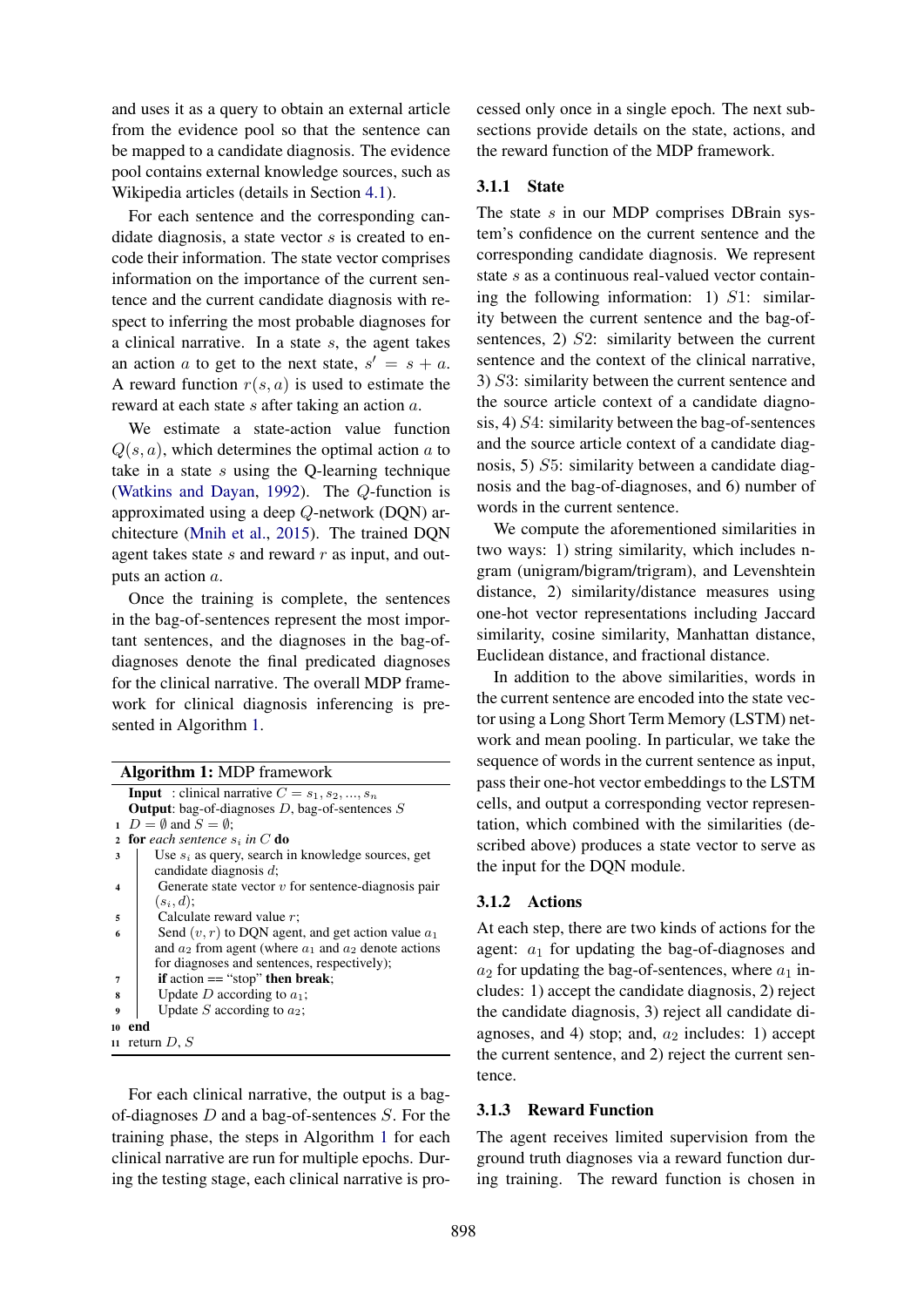and uses it as a query to obtain an external article from the evidence pool so that the sentence can be mapped to a candidate diagnosis. The evidence pool contains external knowledge sources, such as Wikipedia articles (details in Section 4.1).

For each sentence and the corresponding candidate diagnosis, a state vector  $s$  is created to encode their information. The state vector comprises information on the importance of the current sentence and the current candidate diagnosis with respect to inferring the most probable diagnoses for a clinical narrative. In a state  $s$ , the agent takes an action a to get to the next state,  $s' = s + a$ . A reward function  $r(s, a)$  is used to estimate the reward at each state s after taking an action a.

We estimate a state-action value function  $Q(s, a)$ , which determines the optimal action a to take in a state  $s$  using the O-learning technique (Watkins and Dayan, 1992). The Q-function is approximated using a deep Q-network (DQN) architecture (Mnih et al., 2015). The trained DQN agent takes state  $s$  and reward  $r$  as input, and outputs an action a.

Once the training is complete, the sentences in the bag-of-sentences represent the most important sentences, and the diagnoses in the bag-ofdiagnoses denote the final predicated diagnoses for the clinical narrative. The overall MDP framework for clinical diagnosis inferencing is presented in Algorithm 1.

| <b>Algorithm 1: MDP</b> framework |                                                            |  |  |
|-----------------------------------|------------------------------------------------------------|--|--|
|                                   | <b>Input</b> : clinical narrative $C = s_1, s_2, , s_n$    |  |  |
|                                   | <b>Output:</b> bag-of-diagnoses $D$ , bag-of-sentences $S$ |  |  |
| $\blacksquare$                    | $D = \emptyset$ and $S = \emptyset$ ;                      |  |  |
| $\overline{2}$                    | <b>for</b> each sentence $s_i$ in C <b>do</b>              |  |  |
| 3                                 | Use $s_i$ as query, search in knowledge sources, get       |  |  |
|                                   | candidate diagnosis $d$ ;                                  |  |  |
| $\boldsymbol{4}$                  | Generate state vector $v$ for sentence-diagnosis pair      |  |  |
|                                   | $(s_i, d);$                                                |  |  |
| 5                                 | Calculate reward value $r$ ;                               |  |  |
| 6                                 | Send $(v, r)$ to DQN agent, and get action value $a_1$     |  |  |
|                                   | and $a_2$ from agent (where $a_1$ and $a_2$ denote actions |  |  |
|                                   | for diagnoses and sentences, respectively);                |  |  |
| 7                                 | if action $==$ "stop" then break;                          |  |  |
| 8                                 | Update D according to $a_1$ ;                              |  |  |
| 9                                 | Update S according to $a_2$ ;                              |  |  |
| 10                                | end                                                        |  |  |
|                                   | 11 return $D, S$                                           |  |  |

For each clinical narrative, the output is a bagof-diagnoses  $D$  and a bag-of-sentences  $S$ . For the training phase, the steps in Algorithm 1 for each clinical narrative are run for multiple epochs. During the testing stage, each clinical narrative is pro-

cessed only once in a single epoch. The next subsections provide details on the state, actions, and the reward function of the MDP framework.

# 3.1.1 State

The state s in our MDP comprises DBrain system's confidence on the current sentence and the corresponding candidate diagnosis. We represent state s as a continuous real-valued vector containing the following information: 1)  $S1$ : similarity between the current sentence and the bag-ofsentences, 2) S2: similarity between the current sentence and the context of the clinical narrative, 3) S3: similarity between the current sentence and the source article context of a candidate diagnosis, 4) S4: similarity between the bag-of-sentences and the source article context of a candidate diagnosis, 5) S5: similarity between a candidate diagnosis and the bag-of-diagnoses, and 6) number of words in the current sentence.

We compute the aforementioned similarities in two ways: 1) string similarity, which includes ngram (unigram/bigram/trigram), and Levenshtein distance, 2) similarity/distance measures using one-hot vector representations including Jaccard similarity, cosine similarity, Manhattan distance, Euclidean distance, and fractional distance.

In addition to the above similarities, words in the current sentence are encoded into the state vector using a Long Short Term Memory (LSTM) network and mean pooling. In particular, we take the sequence of words in the current sentence as input, pass their one-hot vector embeddings to the LSTM cells, and output a corresponding vector representation, which combined with the similarities (described above) produces a state vector to serve as the input for the DQN module.

### 3.1.2 Actions

At each step, there are two kinds of actions for the agent:  $a_1$  for updating the bag-of-diagnoses and  $a_2$  for updating the bag-of-sentences, where  $a_1$  includes: 1) accept the candidate diagnosis, 2) reject the candidate diagnosis, 3) reject all candidate diagnoses, and 4) stop; and,  $a_2$  includes: 1) accept the current sentence, and 2) reject the current sentence.

### 3.1.3 Reward Function

The agent receives limited supervision from the ground truth diagnoses via a reward function during training. The reward function is chosen in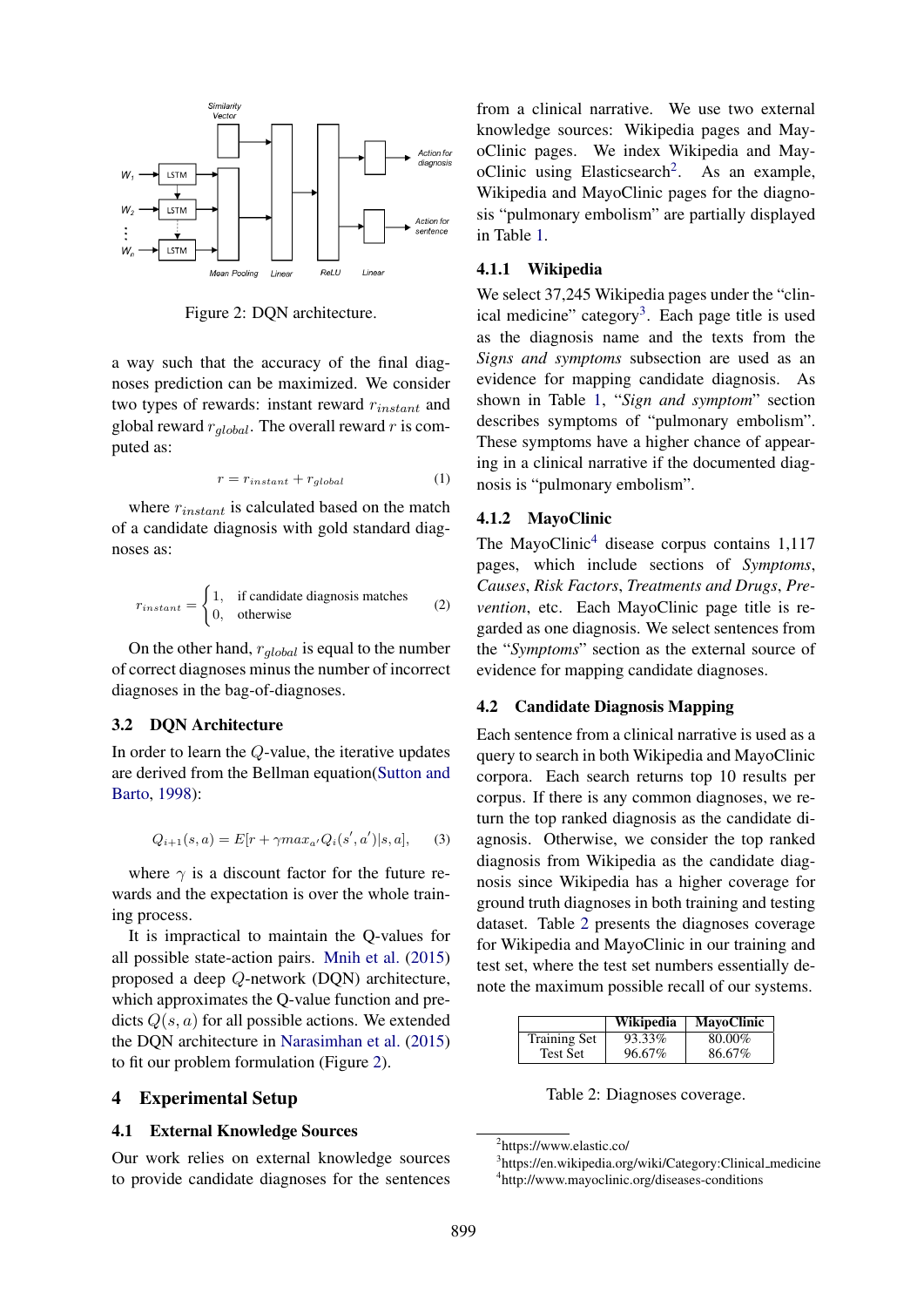

Figure 2: DQN architecture.

a way such that the accuracy of the final diagnoses prediction can be maximized. We consider two types of rewards: instant reward  $r_{instant}$  and global reward  $r_{global}$ . The overall reward r is computed as:

$$
r = r_{instant} + r_{global} \tag{1}
$$

where  $r_{instant}$  is calculated based on the match of a candidate diagnosis with gold standard diagnoses as:

$$
r_{instant} = \begin{cases} 1, & \text{if candidate diagnosis matches} \\ 0, & \text{otherwise} \end{cases} \tag{2}
$$

On the other hand,  $r_{global}$  is equal to the number of correct diagnoses minus the number of incorrect diagnoses in the bag-of-diagnoses.

## 3.2 DQN Architecture

In order to learn the Q-value, the iterative updates are derived from the Bellman equation(Sutton and Barto, 1998):

$$
Q_{i+1}(s, a) = E[r + \gamma max_{a'} Q_i(s', a') | s, a], \quad (3)
$$

where  $\gamma$  is a discount factor for the future rewards and the expectation is over the whole training process.

It is impractical to maintain the Q-values for all possible state-action pairs. Mnih et al. (2015) proposed a deep Q-network (DQN) architecture, which approximates the Q-value function and predicts  $Q(s, a)$  for all possible actions. We extended the DQN architecture in Narasimhan et al. (2015) to fit our problem formulation (Figure 2).

# 4 Experimental Setup

# 4.1 External Knowledge Sources

Our work relies on external knowledge sources to provide candidate diagnoses for the sentences

from a clinical narrative. We use two external knowledge sources: Wikipedia pages and MayoClinic pages. We index Wikipedia and MayoClinic using Elasticsearch<sup>2</sup>. As an example, Wikipedia and MayoClinic pages for the diagnosis "pulmonary embolism" are partially displayed in Table 1.

### 4.1.1 Wikipedia

We select 37,245 Wikipedia pages under the "clinical medicine" category<sup>3</sup>. Each page title is used as the diagnosis name and the texts from the *Signs and symptoms* subsection are used as an evidence for mapping candidate diagnosis. As shown in Table 1, "*Sign and symptom*" section describes symptoms of "pulmonary embolism". These symptoms have a higher chance of appearing in a clinical narrative if the documented diagnosis is "pulmonary embolism".

# 4.1.2 MayoClinic

The MayoClinic<sup>4</sup> disease corpus contains  $1,117$ pages, which include sections of *Symptoms*, *Causes*, *Risk Factors*, *Treatments and Drugs*, *Prevention*, etc. Each MayoClinic page title is regarded as one diagnosis. We select sentences from the "*Symptoms*" section as the external source of evidence for mapping candidate diagnoses.

# 4.2 Candidate Diagnosis Mapping

Each sentence from a clinical narrative is used as a query to search in both Wikipedia and MayoClinic corpora. Each search returns top 10 results per corpus. If there is any common diagnoses, we return the top ranked diagnosis as the candidate diagnosis. Otherwise, we consider the top ranked diagnosis from Wikipedia as the candidate diagnosis since Wikipedia has a higher coverage for ground truth diagnoses in both training and testing dataset. Table 2 presents the diagnoses coverage for Wikipedia and MayoClinic in our training and test set, where the test set numbers essentially denote the maximum possible recall of our systems.

|                     | Wikipedia | <b>MayoClinic</b> |
|---------------------|-----------|-------------------|
| <b>Training Set</b> | 93.33%    | 80.00%            |
| <b>Test Set</b>     | 96.67%    | 86.67%            |

Table 2: Diagnoses coverage.

<sup>2</sup> https://www.elastic.co/

<sup>&</sup>lt;sup>3</sup>https://en.wikipedia.org/wiki/Category:Clinical\_medicine 4 http://www.mayoclinic.org/diseases-conditions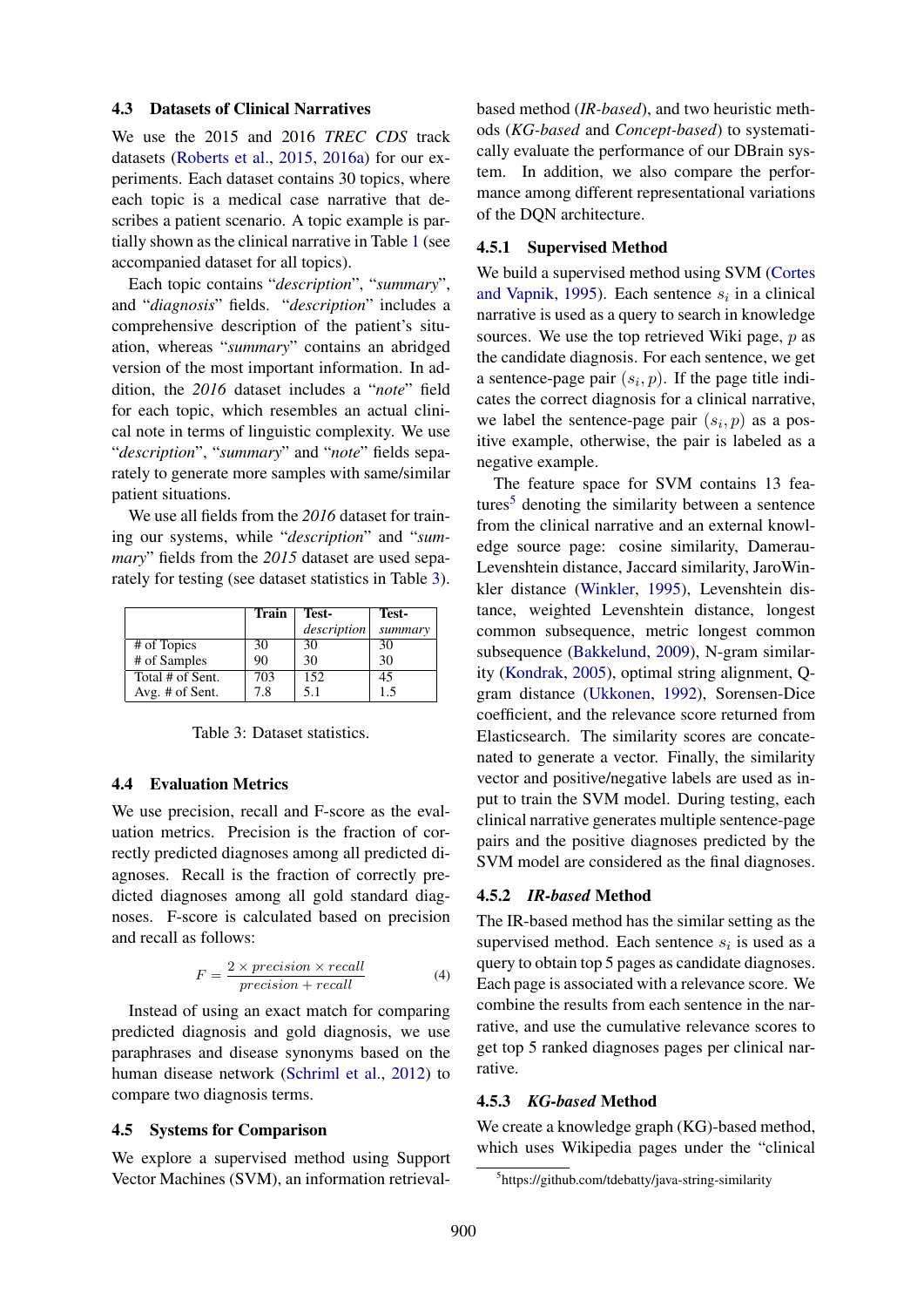### 4.3 Datasets of Clinical Narratives

We use the 2015 and 2016 *TREC CDS* track datasets (Roberts et al., 2015, 2016a) for our experiments. Each dataset contains 30 topics, where each topic is a medical case narrative that describes a patient scenario. A topic example is partially shown as the clinical narrative in Table 1 (see accompanied dataset for all topics).

Each topic contains "*description*", "*summary*", and "*diagnosis*" fields. "*description*" includes a comprehensive description of the patient's situation, whereas "*summary*" contains an abridged version of the most important information. In addition, the *2016* dataset includes a "*note*" field for each topic, which resembles an actual clinical note in terms of linguistic complexity. We use "*description*", "*summary*" and "*note*" fields separately to generate more samples with same/similar patient situations.

We use all fields from the *2016* dataset for training our systems, while "*description*" and "*summary*" fields from the *2015* dataset are used separately for testing (see dataset statistics in Table 3).

|                  | Train | Test-       | Test-   |
|------------------|-------|-------------|---------|
|                  |       | description | summary |
| # of Topics      | 30    | 30          | 30      |
| # of Samples     | 90    | 30          | 30      |
| Total # of Sent. | 703   | 152         | 45      |
| Avg. # of Sent.  | 7.8   | 5.1         | 1.5     |

Table 3: Dataset statistics.

#### 4.4 Evaluation Metrics

We use precision, recall and F-score as the evaluation metrics. Precision is the fraction of correctly predicted diagnoses among all predicted diagnoses. Recall is the fraction of correctly predicted diagnoses among all gold standard diagnoses. F-score is calculated based on precision and recall as follows:

$$
F = \frac{2 \times precision \times recall}{precision + recall}
$$
 (4)

Instead of using an exact match for comparing predicted diagnosis and gold diagnosis, we use paraphrases and disease synonyms based on the human disease network (Schriml et al., 2012) to compare two diagnosis terms.

#### 4.5 Systems for Comparison

We explore a supervised method using Support Vector Machines (SVM), an information retrievalbased method (*IR-based*), and two heuristic methods (*KG-based* and *Concept-based*) to systematically evaluate the performance of our DBrain system. In addition, we also compare the performance among different representational variations of the DQN architecture.

#### 4.5.1 Supervised Method

We build a supervised method using SVM (Cortes and Vapnik, 1995). Each sentence  $s_i$  in a clinical narrative is used as a query to search in knowledge sources. We use the top retrieved Wiki page,  $p$  as the candidate diagnosis. For each sentence, we get a sentence-page pair  $(s_i, p)$ . If the page title indicates the correct diagnosis for a clinical narrative, we label the sentence-page pair  $(s_i, p)$  as a positive example, otherwise, the pair is labeled as a negative example.

The feature space for SVM contains 13 features<sup>5</sup> denoting the similarity between a sentence from the clinical narrative and an external knowledge source page: cosine similarity, Damerau-Levenshtein distance, Jaccard similarity, JaroWinkler distance (Winkler, 1995), Levenshtein distance, weighted Levenshtein distance, longest common subsequence, metric longest common subsequence (Bakkelund, 2009), N-gram similarity (Kondrak, 2005), optimal string alignment, Qgram distance (Ukkonen, 1992), Sorensen-Dice coefficient, and the relevance score returned from Elasticsearch. The similarity scores are concatenated to generate a vector. Finally, the similarity vector and positive/negative labels are used as input to train the SVM model. During testing, each clinical narrative generates multiple sentence-page pairs and the positive diagnoses predicted by the SVM model are considered as the final diagnoses.

### 4.5.2 *IR-based* Method

The IR-based method has the similar setting as the supervised method. Each sentence  $s_i$  is used as a query to obtain top 5 pages as candidate diagnoses. Each page is associated with a relevance score. We combine the results from each sentence in the narrative, and use the cumulative relevance scores to get top 5 ranked diagnoses pages per clinical narrative.

#### 4.5.3 *KG-based* Method

We create a knowledge graph (KG)-based method, which uses Wikipedia pages under the "clinical

<sup>5</sup> https://github.com/tdebatty/java-string-similarity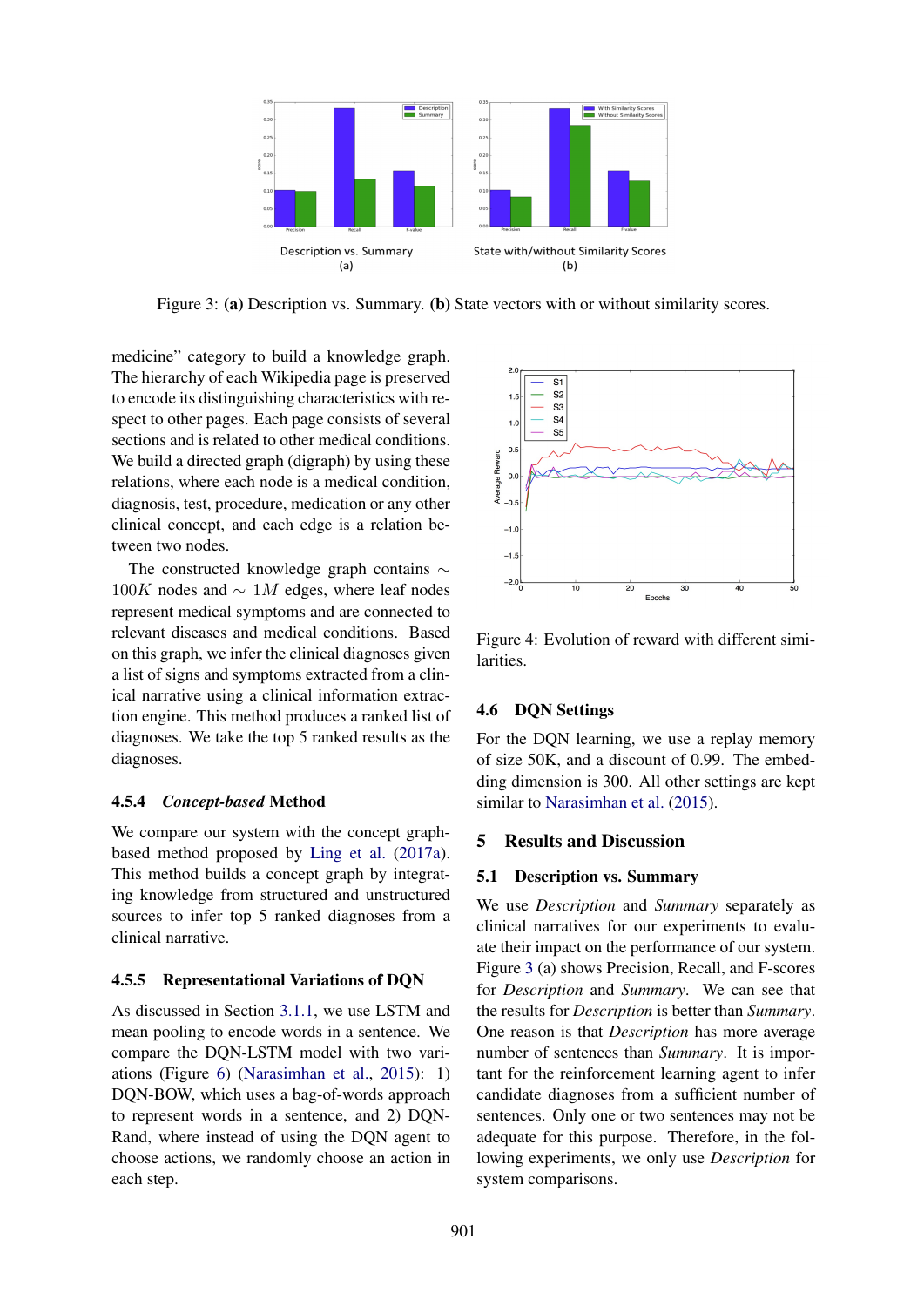

Figure 3: (a) Description vs. Summary. (b) State vectors with or without similarity scores.

medicine" category to build a knowledge graph. The hierarchy of each Wikipedia page is preserved to encode its distinguishing characteristics with respect to other pages. Each page consists of several sections and is related to other medical conditions. We build a directed graph (digraph) by using these relations, where each node is a medical condition, diagnosis, test, procedure, medication or any other clinical concept, and each edge is a relation between two nodes.

The constructed knowledge graph contains ∼  $100K$  nodes and  $\sim 1M$  edges, where leaf nodes represent medical symptoms and are connected to relevant diseases and medical conditions. Based on this graph, we infer the clinical diagnoses given a list of signs and symptoms extracted from a clinical narrative using a clinical information extraction engine. This method produces a ranked list of diagnoses. We take the top 5 ranked results as the diagnoses.

### 4.5.4 *Concept-based* Method

We compare our system with the concept graphbased method proposed by Ling et al. (2017a). This method builds a concept graph by integrating knowledge from structured and unstructured sources to infer top 5 ranked diagnoses from a clinical narrative.

### 4.5.5 Representational Variations of DQN

As discussed in Section 3.1.1, we use LSTM and mean pooling to encode words in a sentence. We compare the DQN-LSTM model with two variations (Figure 6) (Narasimhan et al., 2015): 1) DQN-BOW, which uses a bag-of-words approach to represent words in a sentence, and 2) DQN-Rand, where instead of using the DQN agent to choose actions, we randomly choose an action in each step.



Figure 4: Evolution of reward with different similarities.

### 4.6 DQN Settings

For the DQN learning, we use a replay memory of size 50K, and a discount of 0.99. The embedding dimension is 300. All other settings are kept similar to Narasimhan et al. (2015).

# 5 Results and Discussion

### 5.1 Description vs. Summary

We use *Description* and *Summary* separately as clinical narratives for our experiments to evaluate their impact on the performance of our system. Figure 3 (a) shows Precision, Recall, and F-scores for *Description* and *Summary*. We can see that the results for *Description* is better than *Summary*. One reason is that *Description* has more average number of sentences than *Summary*. It is important for the reinforcement learning agent to infer candidate diagnoses from a sufficient number of sentences. Only one or two sentences may not be adequate for this purpose. Therefore, in the following experiments, we only use *Description* for system comparisons.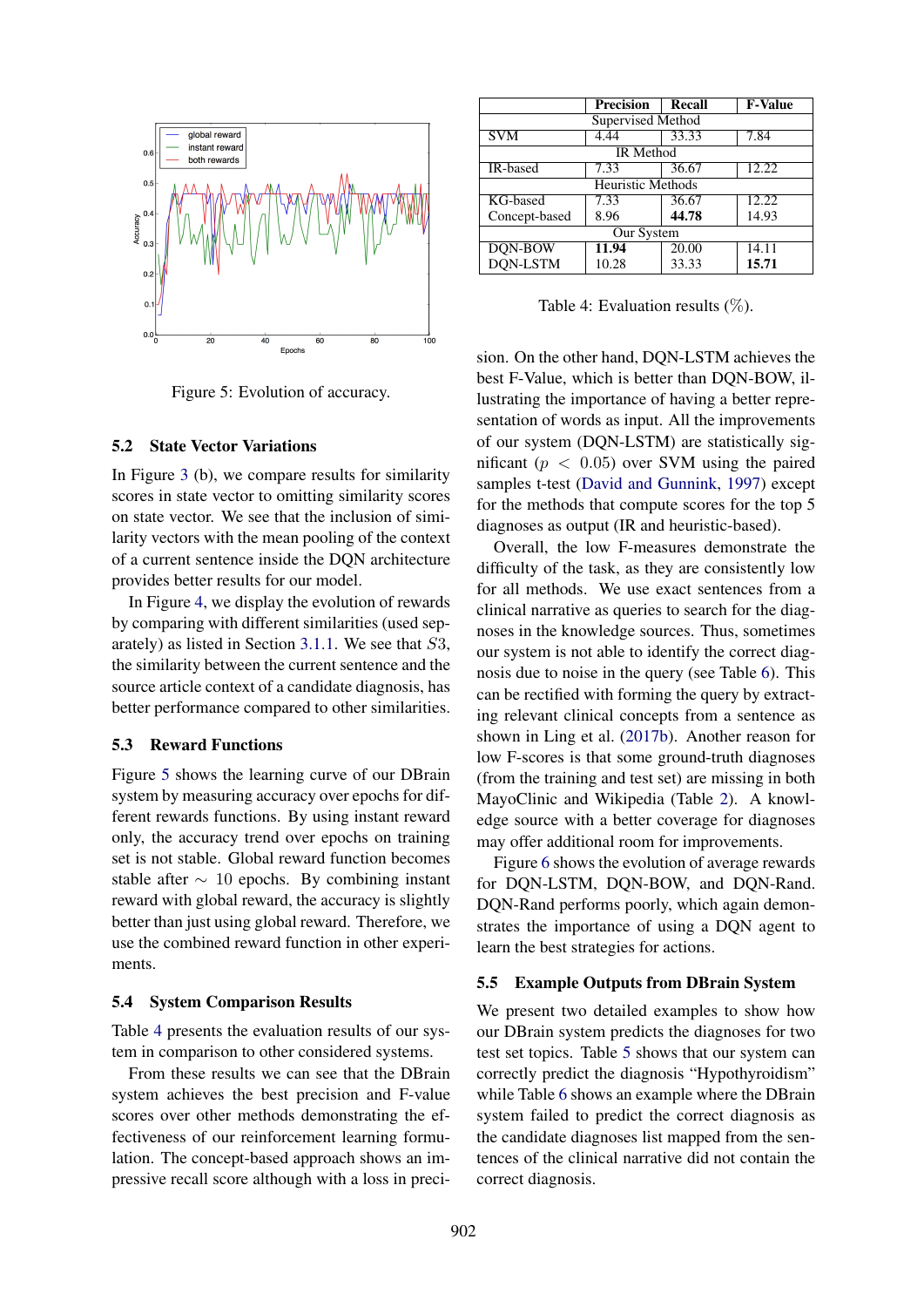

Figure 5: Evolution of accuracy.

#### 5.2 State Vector Variations

In Figure 3 (b), we compare results for similarity scores in state vector to omitting similarity scores on state vector. We see that the inclusion of similarity vectors with the mean pooling of the context of a current sentence inside the DQN architecture provides better results for our model.

In Figure 4, we display the evolution of rewards by comparing with different similarities (used separately) as listed in Section 3.1.1. We see that S3, the similarity between the current sentence and the source article context of a candidate diagnosis, has better performance compared to other similarities.

### 5.3 Reward Functions

Figure 5 shows the learning curve of our DBrain system by measuring accuracy over epochs for different rewards functions. By using instant reward only, the accuracy trend over epochs on training set is not stable. Global reward function becomes stable after  $\sim$  10 epochs. By combining instant reward with global reward, the accuracy is slightly better than just using global reward. Therefore, we use the combined reward function in other experiments.

#### 5.4 System Comparison Results

Table 4 presents the evaluation results of our system in comparison to other considered systems.

From these results we can see that the DBrain system achieves the best precision and F-value scores over other methods demonstrating the effectiveness of our reinforcement learning formulation. The concept-based approach shows an impressive recall score although with a loss in preci-

|                          | <b>Precision</b> | <b>Recall</b> | <b>F-Value</b> |  |
|--------------------------|------------------|---------------|----------------|--|
| Supervised Method        |                  |               |                |  |
| <b>SVM</b>               | 4.44             | 33.33         | 7.84           |  |
| <b>IR</b> Method         |                  |               |                |  |
| IR-based                 | 7.33             | 36.67         | 12.22          |  |
| <b>Heuristic Methods</b> |                  |               |                |  |
| KG-based                 | 7.33             | 36.67         | 12.22          |  |
| Concept-based            | 8.96             | 44.78         | 14.93          |  |
| Our System               |                  |               |                |  |
| DQN-BOW                  | 11.94            | 20.00         | 14.11          |  |
| DQN-LSTM                 | 10.28            | 33.33         | 15.71          |  |

Table 4: Evaluation results  $(\%)$ .

sion. On the other hand, DQN-LSTM achieves the best F-Value, which is better than DQN-BOW, illustrating the importance of having a better representation of words as input. All the improvements of our system (DQN-LSTM) are statistically significant ( $p < 0.05$ ) over SVM using the paired samples t-test (David and Gunnink, 1997) except for the methods that compute scores for the top 5 diagnoses as output (IR and heuristic-based).

Overall, the low F-measures demonstrate the difficulty of the task, as they are consistently low for all methods. We use exact sentences from a clinical narrative as queries to search for the diagnoses in the knowledge sources. Thus, sometimes our system is not able to identify the correct diagnosis due to noise in the query (see Table 6). This can be rectified with forming the query by extracting relevant clinical concepts from a sentence as shown in Ling et al. (2017b). Another reason for low F-scores is that some ground-truth diagnoses (from the training and test set) are missing in both MayoClinic and Wikipedia (Table 2). A knowledge source with a better coverage for diagnoses may offer additional room for improvements.

Figure 6 shows the evolution of average rewards for DQN-LSTM, DQN-BOW, and DQN-Rand. DQN-Rand performs poorly, which again demonstrates the importance of using a DQN agent to learn the best strategies for actions.

#### 5.5 Example Outputs from DBrain System

We present two detailed examples to show how our DBrain system predicts the diagnoses for two test set topics. Table 5 shows that our system can correctly predict the diagnosis "Hypothyroidism" while Table 6 shows an example where the DBrain system failed to predict the correct diagnosis as the candidate diagnoses list mapped from the sentences of the clinical narrative did not contain the correct diagnosis.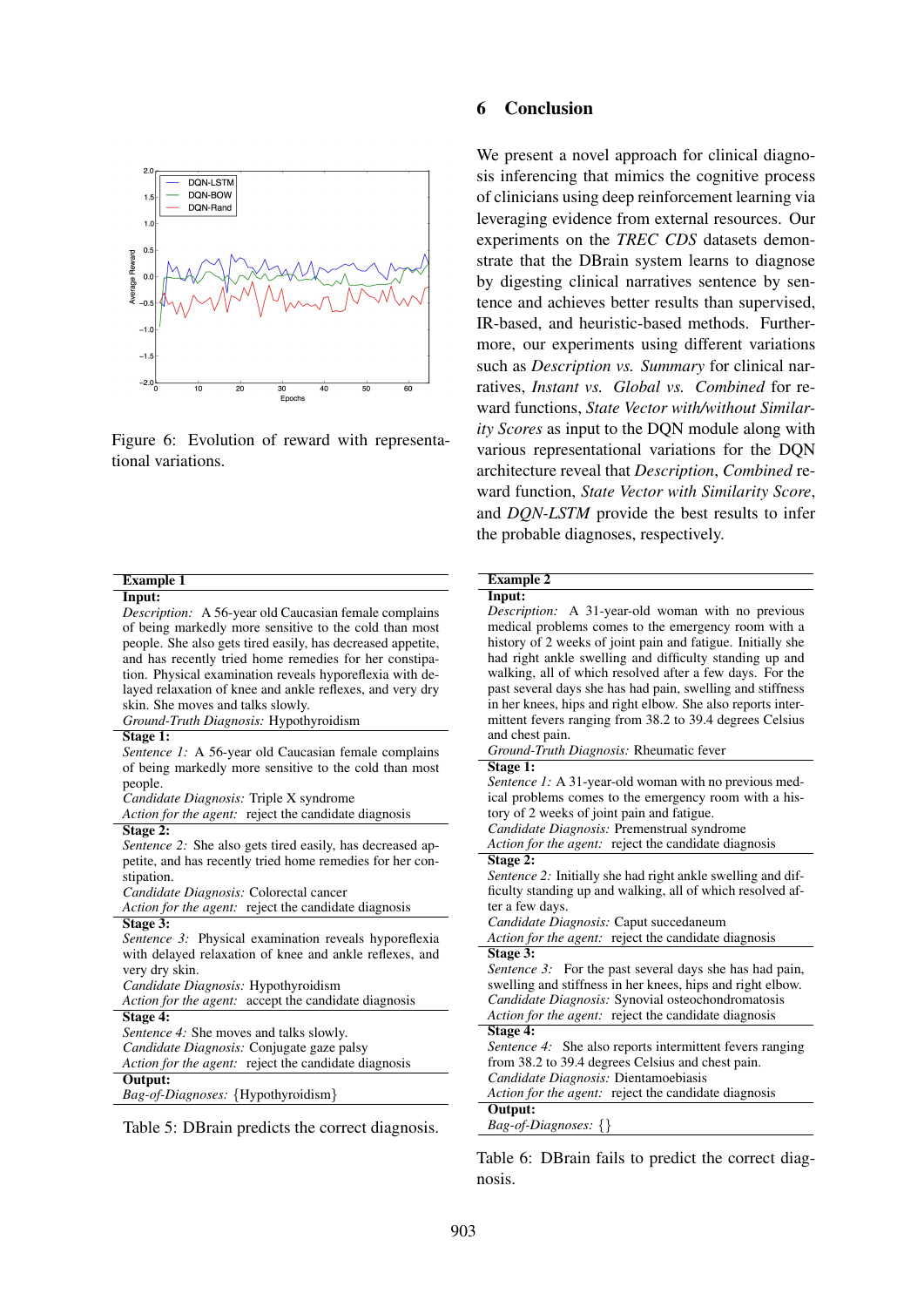

Figure 6: Evolution of reward with representational variations.

| <b>Example 1</b>                                             | <b>Example 2</b>                                               |
|--------------------------------------------------------------|----------------------------------------------------------------|
| Input:                                                       | Input:                                                         |
| <i>Description:</i> A 56-year old Caucasian female complains | Description: A 31-year-old woman with no previous              |
| of being markedly more sensitive to the cold than most       | medical problems comes to the emergency room with a            |
| people. She also gets tired easily, has decreased appetite,  | history of 2 weeks of joint pain and fatigue. Initially she    |
| and has recently tried home remedies for her constipa-       | had right ankle swelling and difficulty standing up and        |
| tion. Physical examination reveals hyporeflexia with de-     | walking, all of which resolved after a few days. For the       |
| layed relaxation of knee and ankle reflexes, and very dry    | past several days she has had pain, swelling and stiffness     |
| skin. She moves and talks slowly.                            | in her knees, hips and right elbow. She also reports inter-    |
| Ground-Truth Diagnosis: Hypothyroidism                       | mittent fevers ranging from 38.2 to 39.4 degrees Celsius       |
| Stage 1:                                                     | and chest pain.                                                |
| Sentence 1: A 56-year old Caucasian female complains         | Ground-Truth Diagnosis: Rheumatic fever                        |
| of being markedly more sensitive to the cold than most       | Stage 1:                                                       |
| people.                                                      | <i>Sentence 1:</i> A 31-year-old woman with no previous med-   |
| Candidate Diagnosis: Triple X syndrome                       | ical problems comes to the emergency room with a his-          |
| Action for the agent: reject the candidate diagnosis         | tory of 2 weeks of joint pain and fatigue.                     |
| Stage 2:                                                     | Candidate Diagnosis: Premenstrual syndrome                     |
| Sentence 2: She also gets tired easily, has decreased ap-    | Action for the agent: reject the candidate diagnosis           |
| petite, and has recently tried home remedies for her con-    | Stage 2:                                                       |
| stipation.                                                   | Sentence 2: Initially she had right ankle swelling and dif-    |
| Candidate Diagnosis: Colorectal cancer                       | ficulty standing up and walking, all of which resolved af-     |
| Action for the agent: reject the candidate diagnosis         | ter a few days.                                                |
| Stage 3:                                                     | Candidate Diagnosis: Caput succedaneum                         |
| Sentence 3: Physical examination reveals hyporeflexia        | Action for the agent: reject the candidate diagnosis           |
| with delayed relaxation of knee and ankle reflexes, and      | Stage 3:                                                       |
| very dry skin.                                               | <i>Sentence 3:</i> For the past several days she has had pain, |
| Candidate Diagnosis: Hypothyroidism                          | swelling and stiffness in her knees, hips and right elbow.     |
| Action for the agent: accept the candidate diagnosis         | Candidate Diagnosis: Synovial osteochondromatosis              |
| Stage 4:                                                     | Action for the agent: reject the candidate diagnosis           |
| Sentence 4: She moves and talks slowly.                      | Stage 4:                                                       |
| Candidate Diagnosis: Conjugate gaze palsy                    | Sentence 4: She also reports intermittent fevers ranging       |
| Action for the agent: reject the candidate diagnosis         | from 38.2 to 39.4 degrees Celsius and chest pain.              |
| Output:                                                      | Candidate Diagnosis: Dientamoebiasis                           |
| Bag-of-Diagnoses: {Hypothyroidism}                           | Action for the agent: reject the candidate diagnosis           |
|                                                              | Output:                                                        |
| Table 5: DBrain predicts the correct diagnosis.              | $Bag-of-Diagnoses: \{\}$                                       |

Table 6: DBrain fails to predict the correct diagnosis.

We present a novel approach for clinical diagnosis inferencing that mimics the cognitive process of clinicians using deep reinforcement learning via leveraging evidence from external resources. Our experiments on the *TREC CDS* datasets demonstrate that the DBrain system learns to diagnose by digesting clinical narratives sentence by sentence and achieves better results than supervised, IR-based, and heuristic-based methods. Furthermore, our experiments using different variations such as *Description vs. Summary* for clinical narratives, *Instant vs. Global vs. Combined* for reward functions, *State Vector with/without Similarity Scores* as input to the DQN module along with various representational variations for the DQN architecture reveal that *Description*, *Combined* reward function, *State Vector with Similarity Score*, and *DQN-LSTM* provide the best results to infer the probable diagnoses, respectively.

# 903

I rain predicts the correct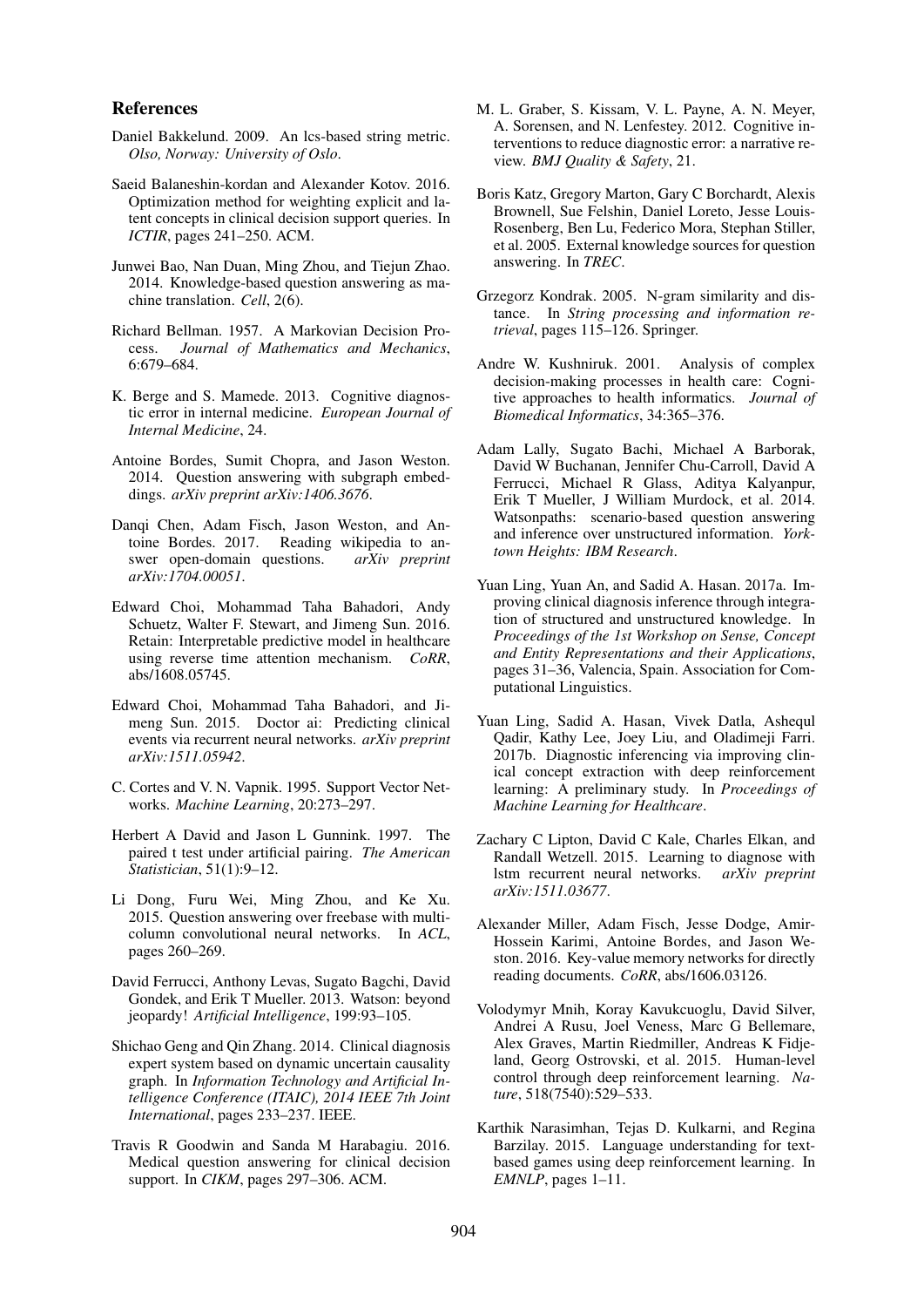#### References

- Daniel Bakkelund. 2009. An lcs-based string metric. *Olso, Norway: University of Oslo*.
- Saeid Balaneshin-kordan and Alexander Kotov. 2016. Optimization method for weighting explicit and latent concepts in clinical decision support queries. In *ICTIR*, pages 241–250. ACM.
- Junwei Bao, Nan Duan, Ming Zhou, and Tiejun Zhao. 2014. Knowledge-based question answering as machine translation. *Cell*, 2(6).
- Richard Bellman. 1957. A Markovian Decision Process. *Journal of Mathematics and Mechanics*, 6:679–684.
- K. Berge and S. Mamede. 2013. Cognitive diagnostic error in internal medicine. *European Journal of Internal Medicine*, 24.
- Antoine Bordes, Sumit Chopra, and Jason Weston. 2014. Question answering with subgraph embeddings. *arXiv preprint arXiv:1406.3676*.
- Danqi Chen, Adam Fisch, Jason Weston, and Antoine Bordes. 2017. Reading wikipedia to answer open-domain questions. *arXiv preprint arXiv:1704.00051*.
- Edward Choi, Mohammad Taha Bahadori, Andy Schuetz, Walter F. Stewart, and Jimeng Sun. 2016. Retain: Interpretable predictive model in healthcare using reverse time attention mechanism. *CoRR*, abs/1608.05745.
- Edward Choi, Mohammad Taha Bahadori, and Jimeng Sun. 2015. Doctor ai: Predicting clinical events via recurrent neural networks. *arXiv preprint arXiv:1511.05942*.
- C. Cortes and V. N. Vapnik. 1995. Support Vector Networks. *Machine Learning*, 20:273–297.
- Herbert A David and Jason L Gunnink. 1997. The paired t test under artificial pairing. *The American Statistician*, 51(1):9–12.
- Li Dong, Furu Wei, Ming Zhou, and Ke Xu. 2015. Question answering over freebase with multicolumn convolutional neural networks. In *ACL*, pages 260–269.
- David Ferrucci, Anthony Levas, Sugato Bagchi, David Gondek, and Erik T Mueller. 2013. Watson: beyond jeopardy! *Artificial Intelligence*, 199:93–105.
- Shichao Geng and Qin Zhang. 2014. Clinical diagnosis expert system based on dynamic uncertain causality graph. In *Information Technology and Artificial Intelligence Conference (ITAIC), 2014 IEEE 7th Joint International*, pages 233–237. IEEE.
- Travis R Goodwin and Sanda M Harabagiu. 2016. Medical question answering for clinical decision support. In *CIKM*, pages 297–306. ACM.
- M. L. Graber, S. Kissam, V. L. Payne, A. N. Meyer, A. Sorensen, and N. Lenfestey. 2012. Cognitive interventions to reduce diagnostic error: a narrative review. *BMJ Quality & Safety*, 21.
- Boris Katz, Gregory Marton, Gary C Borchardt, Alexis Brownell, Sue Felshin, Daniel Loreto, Jesse Louis-Rosenberg, Ben Lu, Federico Mora, Stephan Stiller, et al. 2005. External knowledge sources for question answering. In *TREC*.
- Grzegorz Kondrak. 2005. N-gram similarity and distance. In *String processing and information retrieval*, pages 115–126. Springer.
- Andre W. Kushniruk. 2001. Analysis of complex decision-making processes in health care: Cognitive approaches to health informatics. *Journal of Biomedical Informatics*, 34:365–376.
- Adam Lally, Sugato Bachi, Michael A Barborak, David W Buchanan, Jennifer Chu-Carroll, David A Ferrucci, Michael R Glass, Aditya Kalyanpur, Erik T Mueller, J William Murdock, et al. 2014. Watsonpaths: scenario-based question answering and inference over unstructured information. *Yorktown Heights: IBM Research*.
- Yuan Ling, Yuan An, and Sadid A. Hasan. 2017a. Improving clinical diagnosis inference through integration of structured and unstructured knowledge. In *Proceedings of the 1st Workshop on Sense, Concept and Entity Representations and their Applications*, pages 31–36, Valencia, Spain. Association for Computational Linguistics.
- Yuan Ling, Sadid A. Hasan, Vivek Datla, Ashequl Qadir, Kathy Lee, Joey Liu, and Oladimeji Farri. 2017b. Diagnostic inferencing via improving clinical concept extraction with deep reinforcement learning: A preliminary study. In *Proceedings of Machine Learning for Healthcare*.
- Zachary C Lipton, David C Kale, Charles Elkan, and Randall Wetzell. 2015. Learning to diagnose with lstm recurrent neural networks. *arXiv preprint arXiv:1511.03677*.
- Alexander Miller, Adam Fisch, Jesse Dodge, Amir-Hossein Karimi, Antoine Bordes, and Jason Weston. 2016. Key-value memory networks for directly reading documents. *CoRR*, abs/1606.03126.
- Volodymyr Mnih, Koray Kavukcuoglu, David Silver, Andrei A Rusu, Joel Veness, Marc G Bellemare, Alex Graves, Martin Riedmiller, Andreas K Fidjeland, Georg Ostrovski, et al. 2015. Human-level control through deep reinforcement learning. *Nature*, 518(7540):529–533.
- Karthik Narasimhan, Tejas D. Kulkarni, and Regina Barzilay. 2015. Language understanding for textbased games using deep reinforcement learning. In *EMNLP*, pages 1–11.